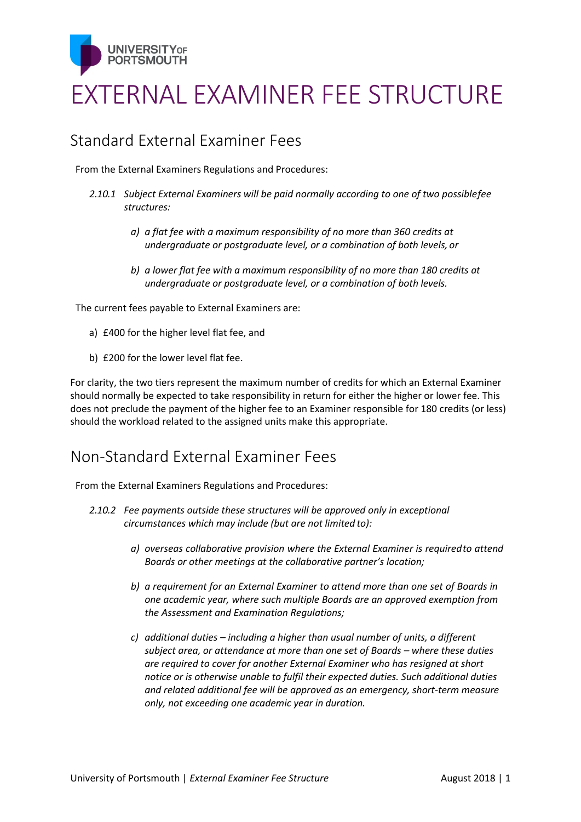

# EXTERNAL EXAMINER FEE STRUCTURE

#### Standard External Examiner Fees

From the External Examiners Regulations and Procedures:

- *2.10.1 Subject External Examiners will be paid normally according to one of two possiblefee structures:*
	- *a) a flat fee with a maximum responsibility of no more than 360 credits at undergraduate or postgraduate level, or a combination of both levels, or*
	- *b) a lower flat fee with a maximum responsibility of no more than 180 credits at undergraduate or postgraduate level, or a combination of both levels.*

The current fees payable to External Examiners are:

- a) £400 for the higher level flat fee, and
- b) £200 for the lower level flat fee.

For clarity, the two tiers represent the maximum number of credits for which an External Examiner should normally be expected to take responsibility in return for either the higher or lower fee. This does not preclude the payment of the higher fee to an Examiner responsible for 180 credits (or less) should the workload related to the assigned units make this appropriate.

#### Non-Standard External Examiner Fees

From the External Examiners Regulations and Procedures:

- *2.10.2 Fee payments outside these structures will be approved only in exceptional circumstances which may include (but are not limited to):*
	- *a) overseas collaborative provision where the External Examiner is requiredto attend Boards or other meetings at the collaborative partner's location;*
	- *b) a requirement for an External Examiner to attend more than one set of Boards in one academic year, where such multiple Boards are an approved exemption from the Assessment and Examination Regulations;*
	- *c) additional duties – including a higher than usual number of units, a different subject area, or attendance at more than one set of Boards – where these duties are required to cover for another External Examiner who has resigned at short notice or is otherwise unable to fulfil their expected duties. Such additional duties and related additional fee will be approved as an emergency, short-term measure only, not exceeding one academic year in duration.*